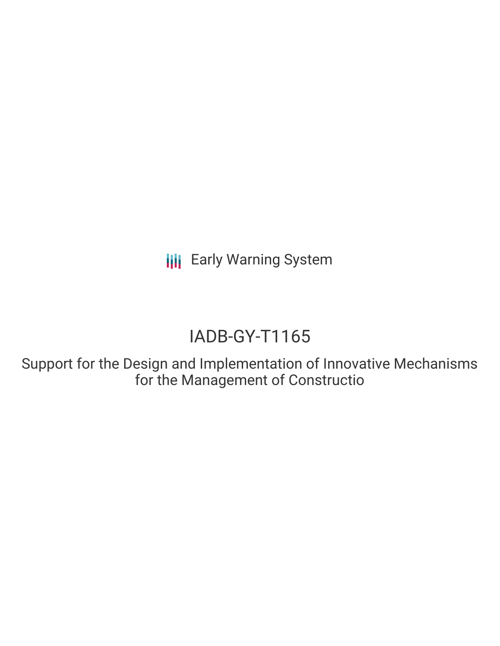**III** Early Warning System

# IADB-GY-T1165

Support for the Design and Implementation of Innovative Mechanisms for the Management of Constructio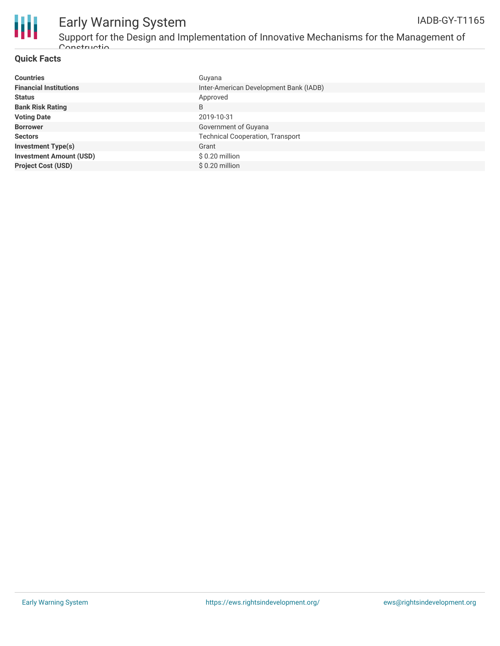

## Early Warning System IADB-GY-T1165

Support for the Design and Implementation of Innovative Mechanisms for the Management of Constructio

#### **Quick Facts**

| <b>Countries</b>               | Guyana                                  |
|--------------------------------|-----------------------------------------|
| <b>Financial Institutions</b>  | Inter-American Development Bank (IADB)  |
| <b>Status</b>                  | Approved                                |
| <b>Bank Risk Rating</b>        | B                                       |
| <b>Voting Date</b>             | 2019-10-31                              |
| <b>Borrower</b>                | Government of Guyana                    |
| <b>Sectors</b>                 | <b>Technical Cooperation, Transport</b> |
| <b>Investment Type(s)</b>      | Grant                                   |
| <b>Investment Amount (USD)</b> | $$0.20$ million                         |
| <b>Project Cost (USD)</b>      | $$0.20$ million                         |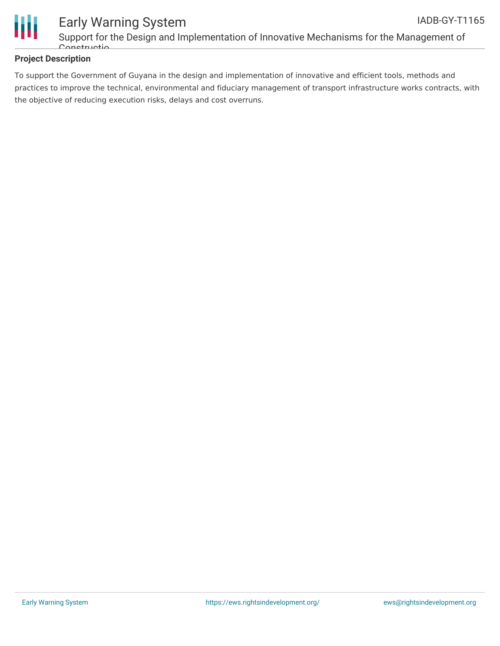



### Early Warning System Support for the Design and Implementation of Innovative Mechanisms for the Management of Constructio

#### **Project Description**

To support the Government of Guyana in the design and implementation of innovative and efficient tools, methods and practices to improve the technical, environmental and fiduciary management of transport infrastructure works contracts, with the objective of reducing execution risks, delays and cost overruns.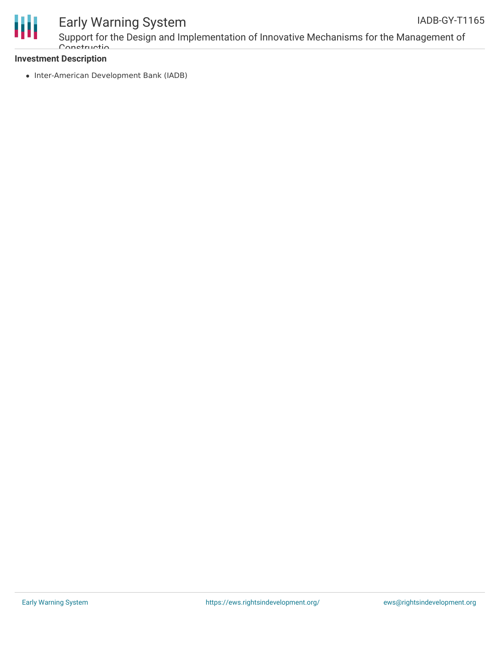

# Early Warning System

Support for the Design and Implementation of Innovative Mechanisms for the Management of Constructio

#### **Investment Description**

• Inter-American Development Bank (IADB)